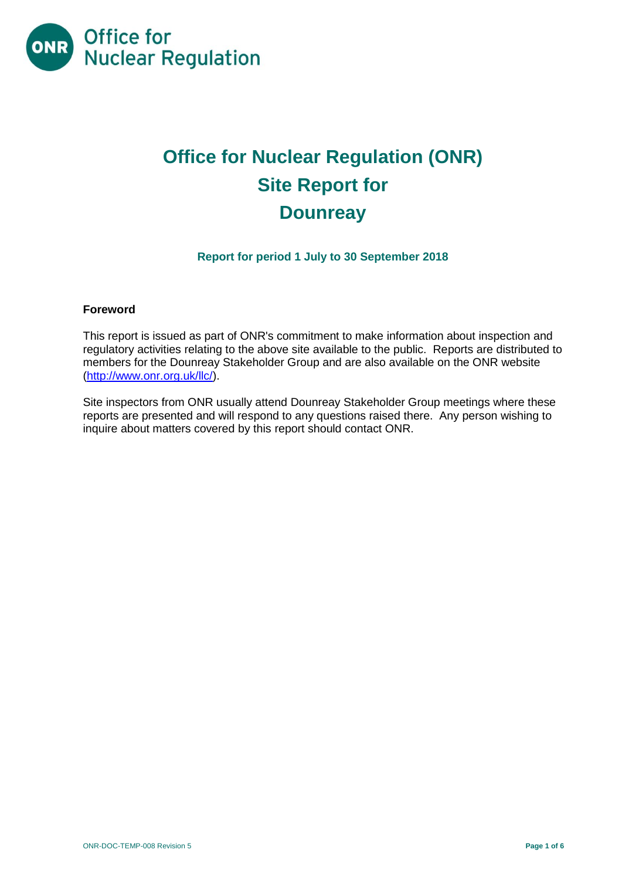

# **Office for Nuclear Regulation (ONR) Site Report for Dounreay**

# **Report for period 1 July to 30 September 2018**

# **Foreword**

This report is issued as part of ONR's commitment to make information about inspection and regulatory activities relating to the above site available to the public. Reports are distributed to members for the Dounreay Stakeholder Group and are also available on the ONR website [\(http://www.onr.org.uk/llc/\)](http://www.onr.org.uk/llc/).

Site inspectors from ONR usually attend Dounreay Stakeholder Group meetings where these reports are presented and will respond to any questions raised there. Any person wishing to inquire about matters covered by this report should contact ONR.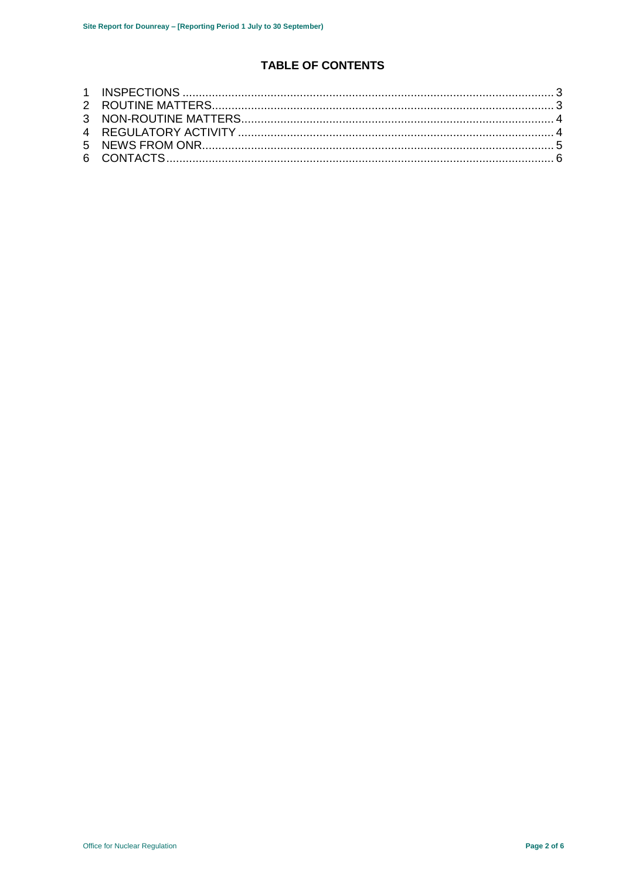# **TABLE OF CONTENTS**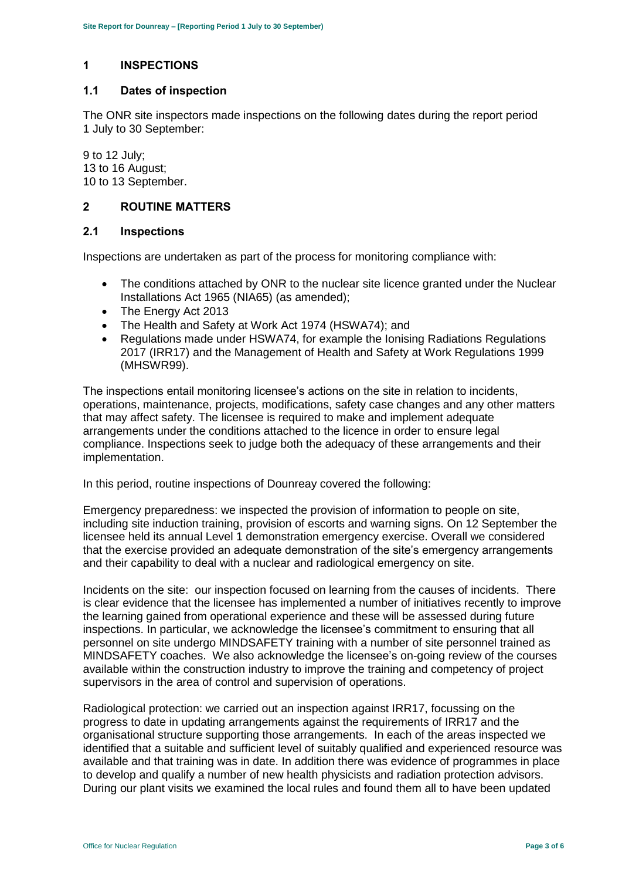# <span id="page-2-0"></span>**1 INSPECTIONS**

#### **1.1 Dates of inspection**

The ONR site inspectors made inspections on the following dates during the report period 1 July to 30 September:

9 to 12 July; 13 to 16 August; 10 to 13 September.

# <span id="page-2-1"></span>**2 ROUTINE MATTERS**

#### **2.1 Inspections**

Inspections are undertaken as part of the process for monitoring compliance with:

- The conditions attached by ONR to the nuclear site licence granted under the Nuclear Installations Act 1965 (NIA65) (as amended);
- The Energy Act 2013
- The Health and Safety at Work Act 1974 (HSWA74); and
- Regulations made under HSWA74, for example the Ionising Radiations Regulations 2017 (IRR17) and the Management of Health and Safety at Work Regulations 1999 (MHSWR99).

The inspections entail monitoring licensee's actions on the site in relation to incidents, operations, maintenance, projects, modifications, safety case changes and any other matters that may affect safety. The licensee is required to make and implement adequate arrangements under the conditions attached to the licence in order to ensure legal compliance. Inspections seek to judge both the adequacy of these arrangements and their implementation.

In this period, routine inspections of Dounreay covered the following:

Emergency preparedness: we inspected the provision of information to people on site, including site induction training, provision of escorts and warning signs. On 12 September the licensee held its annual Level 1 demonstration emergency exercise. Overall we considered that the exercise provided an adequate demonstration of the site's emergency arrangements and their capability to deal with a nuclear and radiological emergency on site.

Incidents on the site: our inspection focused on learning from the causes of incidents. There is clear evidence that the licensee has implemented a number of initiatives recently to improve the learning gained from operational experience and these will be assessed during future inspections. In particular, we acknowledge the licensee's commitment to ensuring that all personnel on site undergo MINDSAFETY training with a number of site personnel trained as MINDSAFETY coaches. We also acknowledge the licensee's on-going review of the courses available within the construction industry to improve the training and competency of project supervisors in the area of control and supervision of operations.

Radiological protection: we carried out an inspection against IRR17, focussing on the progress to date in updating arrangements against the requirements of IRR17 and the organisational structure supporting those arrangements. In each of the areas inspected we identified that a suitable and sufficient level of suitably qualified and experienced resource was available and that training was in date. In addition there was evidence of programmes in place to develop and qualify a number of new health physicists and radiation protection advisors. During our plant visits we examined the local rules and found them all to have been updated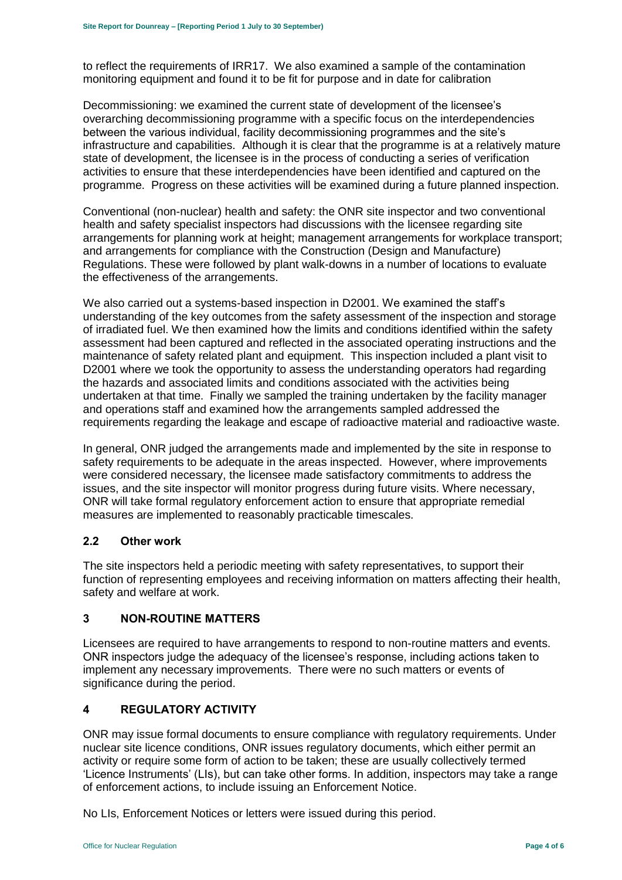to reflect the requirements of IRR17. We also examined a sample of the contamination monitoring equipment and found it to be fit for purpose and in date for calibration

Decommissioning: we examined the current state of development of the licensee's overarching decommissioning programme with a specific focus on the interdependencies between the various individual, facility decommissioning programmes and the site's infrastructure and capabilities. Although it is clear that the programme is at a relatively mature state of development, the licensee is in the process of conducting a series of verification activities to ensure that these interdependencies have been identified and captured on the programme. Progress on these activities will be examined during a future planned inspection.

Conventional (non-nuclear) health and safety: the ONR site inspector and two conventional health and safety specialist inspectors had discussions with the licensee regarding site arrangements for planning work at height; management arrangements for workplace transport; and arrangements for compliance with the Construction (Design and Manufacture) Regulations. These were followed by plant walk-downs in a number of locations to evaluate the effectiveness of the arrangements.

We also carried out a systems-based inspection in D2001. We examined the staff's understanding of the key outcomes from the safety assessment of the inspection and storage of irradiated fuel. We then examined how the limits and conditions identified within the safety assessment had been captured and reflected in the associated operating instructions and the maintenance of safety related plant and equipment. This inspection included a plant visit to D2001 where we took the opportunity to assess the understanding operators had regarding the hazards and associated limits and conditions associated with the activities being undertaken at that time. Finally we sampled the training undertaken by the facility manager and operations staff and examined how the arrangements sampled addressed the requirements regarding the leakage and escape of radioactive material and radioactive waste.

In general, ONR judged the arrangements made and implemented by the site in response to safety requirements to be adequate in the areas inspected. However, where improvements were considered necessary, the licensee made satisfactory commitments to address the issues, and the site inspector will monitor progress during future visits. Where necessary, ONR will take formal regulatory enforcement action to ensure that appropriate remedial measures are implemented to reasonably practicable timescales.

#### **2.2 Other work**

The site inspectors held a periodic meeting with safety representatives, to support their function of representing employees and receiving information on matters affecting their health, safety and welfare at work.

# <span id="page-3-0"></span>**3 NON-ROUTINE MATTERS**

Licensees are required to have arrangements to respond to non-routine matters and events. ONR inspectors judge the adequacy of the licensee's response, including actions taken to implement any necessary improvements. There were no such matters or events of significance during the period.

# <span id="page-3-1"></span>**4 REGULATORY ACTIVITY**

ONR may issue formal documents to ensure compliance with regulatory requirements. Under nuclear site licence conditions, ONR issues regulatory documents, which either permit an activity or require some form of action to be taken; these are usually collectively termed 'Licence Instruments' (LIs), but can take other forms. In addition, inspectors may take a range of enforcement actions, to include issuing an Enforcement Notice.

No LIs, Enforcement Notices or letters were issued during this period.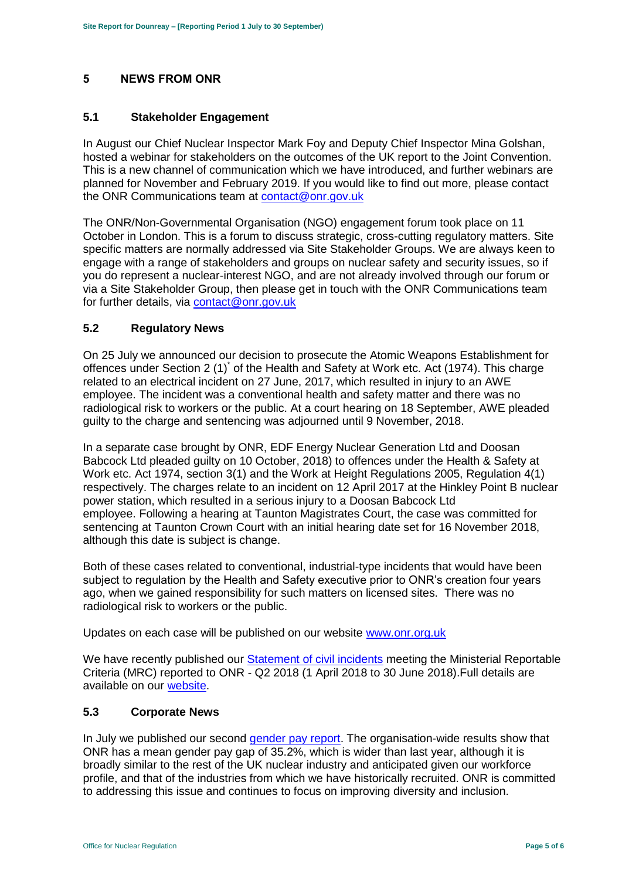# <span id="page-4-0"></span>**5 NEWS FROM ONR**

# **5.1 Stakeholder Engagement**

In August our Chief Nuclear Inspector Mark Foy and Deputy Chief Inspector Mina Golshan, hosted a webinar for stakeholders on the outcomes of the UK report to the Joint Convention. This is a new channel of communication which we have introduced, and further webinars are planned for November and February 2019. If you would like to find out more, please contact the ONR Communications team at [contact@onr.gov.uk](mailto:contact@onr.gov.uk)

The ONR/Non-Governmental Organisation (NGO) engagement forum took place on 11 October in London. This is a forum to discuss strategic, cross-cutting regulatory matters. Site specific matters are normally addressed via Site Stakeholder Groups. We are always keen to engage with a range of stakeholders and groups on nuclear safety and security issues, so if you do represent a nuclear-interest NGO, and are not already involved through our forum or via a Site Stakeholder Group, then please get in touch with the ONR Communications team for further details, via [contact@onr.gov.uk](mailto:contact@onr.gov.uk)

# **5.2 Regulatory News**

On 25 July we announced our decision to prosecute the Atomic Weapons Establishment for offences under Section 2 (1)<sup>\*</sup> of the Health and Safety at Work etc. Act (1974). This charge related to an electrical incident on 27 June, 2017, which resulted in injury to an AWE employee. The incident was a conventional health and safety matter and there was no radiological risk to workers or the public. At a court hearing on 18 September, AWE pleaded guilty to the charge and sentencing was adjourned until 9 November, 2018.

In a separate case brought by ONR, EDF Energy Nuclear Generation Ltd and Doosan Babcock Ltd pleaded guilty on 10 October, 2018) to offences under the Health & Safety at Work etc. Act 1974, section 3(1) and the Work at Height Regulations 2005, Regulation 4(1) respectively. The charges relate to an incident on 12 April 2017 at the Hinkley Point B nuclear power station, which resulted in a serious injury to a Doosan Babcock Ltd employee. Following a hearing at Taunton Magistrates Court, the case was committed for sentencing at Taunton Crown Court with an initial hearing date set for 16 November 2018, although this date is subject is change.

Both of these cases related to conventional, industrial-type incidents that would have been subject to regulation by the Health and Safety executive prior to ONR's creation four years ago, when we gained responsibility for such matters on licensed sites. There was no radiological risk to workers or the public.

Updates on each case will be published on our website [www.onr.org.uk](http://www.onr.org.uk/)

We have recently published our Statement [of civil incidents](http://www.onr.org.uk/quarterly-stat/2018-2.htm) meeting the Ministerial Reportable Criteria (MRC) reported to ONR - Q2 2018 (1 April 2018 to 30 June 2018).Full details are available on our [website.](http://www.onr.org.uk/quarterly-stat/2018-2.htm)

# **5.3 Corporate News**

In July we published our second [gender pay report.](http://news.onr.org.uk/2018/07/onr-publishes-second-gender-pay-report/) The organisation-wide results show that ONR has a mean gender pay gap of 35.2%, which is wider than last year, although it is broadly similar to the rest of the UK nuclear industry and anticipated given our workforce profile, and that of the industries from which we have historically recruited. ONR is committed to addressing this issue and continues to focus on improving diversity and inclusion.